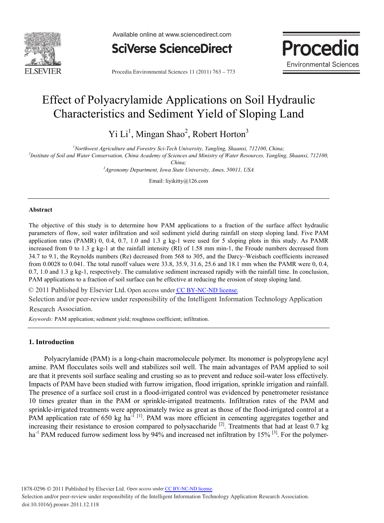



**Procedia** 

**Environmental Sciences 11 (2011) 763 – 773 Schware Environmental Sciences** 11 (2011) 763 – 773

# Effect of Polyacrylamide Applications on Soil Hydraulic Characteristics and Sediment Yield of Sloping Land

Yi Li<sup>1</sup>, Mingan Shao<sup>2</sup>, Robert Horton<sup>3</sup>

*1 Northwest Agriculture and Forestry Sci-Tech University, Yangling, Shaanxi, 712100, China; 2*

*Institute of Soil and Water Conservation, China Academy of Sciences and Ministry of Water Resources, Yangling, Shaanxi, 712100,* 

*China; 3 Agronomy Department, Iowa State University, Ames, 50011, USA* 

Email: liyikitty@126.com

# **Abstract**

The objective of this study is to determine how PAM applications to a fraction of the surface affect hydraulic parameters of flow, soil water infiltration and soil sediment yield during rainfall on steep sloping land. Five PAM application rates (PAMR) 0, 0.4, 0.7, 1.0 and 1.3 g kg-1 were used for 5 sloping plots in this study. As PAMR increased from 0 to 1.3 g kg-1 at the rainfall intensity (RI) of 1.58 mm min-1, the Froude numbers decreased from 34.7 to 9.1, the Reynolds numbers (Re) decreased from 568 to 305, and the Darcy–Weisbach coefficients increased from 0.0028 to 0.041. The total runoff values were 33.8, 35.9, 31.6, 25.6 and 18.1 mm when the PAMR were 0, 0.4, 0.7, 1.0 and 1.3 g kg-1, respectively. The cumulative sediment increased rapidly with the rainfall time. In conclusion, PAM applications to a fraction of soil surface can be effective at reducing the erosion of steep sloping land.

© 2011 Published by Elsevier Ltd. Open access under [CC BY-NC-ND license.](http://creativecommons.org/licenses/by-nc-nd/3.0/)

 Selection and/or peer-review under responsibility of the Intelligent Information Technology Application Research Association.

*Keywords:* PAM application; sediment yield; roughness coefficient; infiltration.

# **1. Introduction**

Polyacrylamide (PAM) is a long-chain macromolecule polymer. Its monomer is polypropylene acyl amine. PAM flocculates soils well and stabilizes soil well. The main advantages of PAM applied to soil are that it prevents soil surface sealing and crusting so as to prevent and reduce soil-water loss effectively. Impacts of PAM have been studied with furrow irrigation, flood irrigation, sprinkle irrigation and rainfall. The presence of a surface soil crust in a flood-irrigated control was evidenced by penetrometer resistance 10 times greater than in the PAM or sprinkle-irrigated treatments. Infiltration rates of the PAM and sprinkle-irrigated treatments were approximately twice as great as those of the flood-irrigated control at a PAM application rate of 650 kg ha<sup>-1 [1]</sup>. PAM was more efficient in cementing aggregates together and increasing their resistance to erosion compared to polysaccharide <sup>[2]</sup>. Treatments that had at least 0.7 kg ha<sup>-1</sup> PAM reduced furrow sediment loss by 94% and increased net infiltration by 15% <sup>[3]</sup>. For the polymer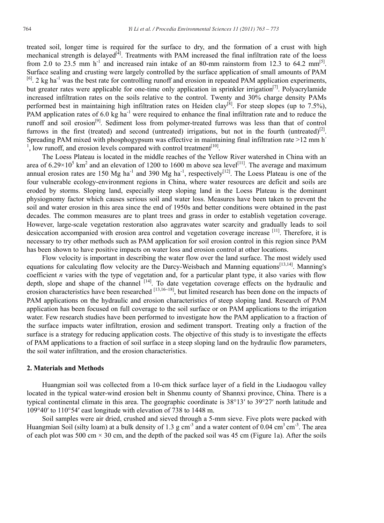treated soil, longer time is required for the surface to dry, and the formation of a crust with high mechanical strength is delayed<sup>[4]</sup>. Treatments with PAM increased the final infiltration rate of the loess from 2.0 to 23.5 mm  $h^{-1}$  and increased rain intake of an 80-mm rainstorm from 12.3 to 64.2 mm<sup>[5]</sup>. Surface sealing and crusting were largely controlled by the surface application of small amounts of PAM  $[6]$ . 2 kg ha<sup>-1</sup> was the best rate for controlling runoff and erosion in repeated PAM application experiments, but greater rates were applicable for one-time only application in sprinkler irrigation<sup>[7]</sup>. Polyacrylamide increased infiltration rates on the soils relative to the control. Twenty and 30% charge density PAMs performed best in maintaining high infiltration rates on Heiden clay<sup>[8]</sup>. For steep slopes (up to 7.5%), PAM application rates of 6.0 kg ha<sup>-1</sup> were required to enhance the final infiltration rate and to reduce the runoff and soil erosion[9]. Sediment loss from polymer-treated furrows was less than that of control furrows in the first (treated) and second (untreated) irrigations, but not in the fourth (untreated)<sup>[2]</sup>. Spreading PAM mixed with phosphogypsum was effective in maintaining final infiltration rate >12 mm h<sup>-</sup>  $<sup>1</sup>$ , low runoff, and erosion levels compared with control treatment<sup>[10]</sup>.</sup>

The Loess Plateau is located in the middle reaches of the Yellow River watershed in China with an area of  $6.29 \times 10^5$  km<sup>2</sup> and an elevation of 1200 to 1600 m above sea level<sup>[11]</sup>. The average and maximum annual erosion rates are 150 Mg ha<sup>-1</sup> and 390 Mg ha<sup>-1</sup>, respectively<sup>[12]</sup>. The Loess Plateau is one of the four vulnerable ecology-environment regions in China, where water resources are deficit and soils are eroded by storms. Sloping land, especially steep sloping land in the Loess Plateau is the dominant physiognomy factor which causes serious soil and water loss. Measures have been taken to prevent the soil and water erosion in this area since the end of 1950s and better conditions were obtained in the past decades. The common measures are to plant trees and grass in order to establish vegetation coverage. However, large-scale vegetation restoration also aggravates water scarcity and gradually leads to soil desiccation accompanied with erosion area control and vegetation coverage increase  $[11]$ . Therefore, it is necessary to try other methods such as PAM application for soil erosion control in this region since PAM has been shown to have positive impacts on water loss and erosion control at other locations.

Flow velocity is important in describing the water flow over the land surface. The most widely used equations for calculating flow velocity are the Darcy-Weisbach and Manning equations<sup>[13,14]</sup>. Manning's coefficient *n* varies with the type of vegetation and, for a particular plant type, it also varies with flow depth, slope and shape of the channel [14]. To date vegetation coverage effects on the hydraulic and erosion characteristics have been researched <sup>[13,16~18]</sup>, but limited research has been done on the impacts of PAM applications on the hydraulic and erosion characteristics of steep sloping land. Research of PAM application has been focused on full coverage to the soil surface or on PAM applications to the irrigation water. Few research studies have been performed to investigate how the PAM application to a fraction of the surface impacts water infiltration, erosion and sediment transport. Treating only a fraction of the surface is a strategy for reducing application costs. The objective of this study is to investigate the effects of PAM applications to a fraction of soil surface in a steep sloping land on the hydraulic flow parameters, the soil water infiltration, and the erosion characteristics.

### **2. Materials and Methods**

Huangmian soil was collected from a 10-cm thick surface layer of a field in the Liudaogou valley located in the typical water-wind erosion belt in Shenmu county of Shannxi province, China. There is a typical continental climate in this area. The geographic coordinate is 38°13′ to 39°27′ north latitude and 109°40′ to 110°54′ east longitude with elevation of 738 to 1448 m.

Soil samples were air dried, crushed and sieved through a 5-mm sieve. Five plots were packed with Huangmian Soil (silty loam) at a bulk density of 1.3 g cm<sup>-3</sup> and a water content of 0.04 cm<sup>-3</sup> cm<sup>-3</sup>. The area of each plot was 500 cm  $\times$  30 cm, and the depth of the packed soil was 45 cm (Figure 1a). After the soils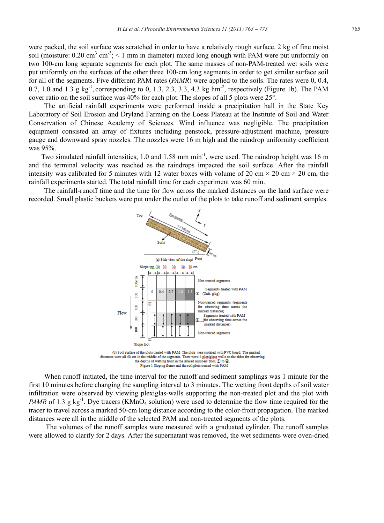were packed, the soil surface was scratched in order to have a relatively rough surface. 2 kg of fine moist soil (moisture:  $0.20 \text{ cm}^3 \text{ cm}^3$ ; < 1 mm in diameter) mixed long enough with PAM were put uniformly on two 100-cm long separate segments for each plot. The same masses of non-PAM-treated wet soils were put uniformly on the surfaces of the other three 100-cm long segments in order to get similar surface soil for all of the segments. Five different PAM rates (*PAMR*) were applied to the soils. The rates were 0, 0.4, 0.7, 1.0 and 1.3 g kg<sup>-1</sup>, corresponding to 0, 1.3, 2.3, 3.3, 4.3 kg hm<sup>-2</sup>, respectively (Figure 1b). The PAM cover ratio on the soil surface was 40% for each plot. The slopes of all 5 plots were 25°.

The artificial rainfall experiments were performed inside a precipitation hall in the State Key Laboratory of Soil Erosion and Dryland Farming on the Loess Plateau at the Institute of Soil and Water Conservation of Chinese Academy of Sciences. Wind influence was negligible. The precipitation equipment consisted an array of fixtures including penstock, pressure-adjustment machine, pressure gauge and downward spray nozzles. The nozzles were 16 m high and the raindrop uniformity coefficient was 95%.

Two simulated rainfall intensities, 1.0 and 1.58 mm min<sup>-1</sup>, were used. The raindrop height was 16 m and the terminal velocity was reached as the raindrops impacted the soil surface. After the rainfall intensity was calibrated for 5 minutes with 12 water boxes with volume of 20 cm  $\times$  20 cm  $\times$  20 cm, the rainfall experiments started. The total rainfall time for each experiment was 60 min.

The rainfall-runoff time and the time for flow across the marked distances on the land surface were recorded. Small plastic buckets were put under the outlet of the plots to take runoff and sediment samples.



distances were all 50 cm in the middle of the segments. There were 4 plexigless walls on the sides for observing the depths of wetting front in the labeled numbers from  $\mathbbm{D}$  to  $\mathbb{R}$ . Figure 1 Sloping flume and the soil plots treated with PAM

When runoff initiated, the time interval for the runoff and sediment samplings was 1 minute for the first 10 minutes before changing the sampling interval to 3 minutes. The wetting front depths of soil water infiltration were observed by viewing plexiglas-walls supporting the non-treated plot and the plot with *PAMR* of 1.3 g kg<sup>-1</sup>. Dye tracers (KMnO<sub>4</sub> solution) were used to determine the flow time required for the tracer to travel across a marked 50-cm long distance according to the color-front propagation. The marked distances were all in the middle of the selected PAM and non-treated segments of the plots.

 The volumes of the runoff samples were measured with a graduated cylinder. The runoff samples were allowed to clarify for 2 days. After the supernatant was removed, the wet sediments were oven-dried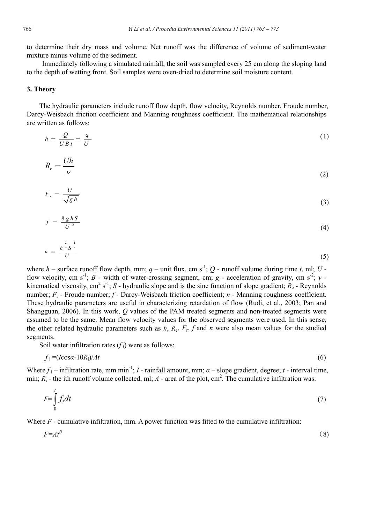to determine their dry mass and volume. Net runoff was the difference of volume of sediment-water mixture minus volume of the sediment.

Immediately following a simulated rainfall, the soil was sampled every 25 cm along the sloping land to the depth of wetting front. Soil samples were oven-dried to determine soil moisture content.

# **3. Theory**

The hydraulic parameters include runoff flow depth, flow velocity, Reynolds number, Froude number, Darcy-Weisbach friction coefficient and Manning roughness coefficient. The mathematical relationships are written as follows:

$$
h = \frac{Q}{UBt} = \frac{q}{U} \tag{1}
$$

$$
R_{\rm e} = \frac{Uh}{\nu} \tag{2}
$$

$$
F_r = \frac{U}{\sqrt{gh}}\tag{3}
$$

$$
f = \frac{8ghS}{U^2} \tag{4}
$$

$$
n = \frac{h^{\frac{2}{3}} S^{\frac{1}{2}}}{U}
$$
 (5)

where  $h$  – surface runoff flow depth, mm;  $q$  – unit flux, cm s<sup>-1</sup>;  $Q$  - runoff volume during time *t*, ml;  $U$  flow velocity, cm s<sup>-1</sup>; *B* - width of water-crossing segment, cm; *g* - acceleration of gravity, cm s<sup>-2</sup>; *v* kinematical viscosity, cm<sup>2</sup> s<sup>-1</sup>; *S* - hydraulic slope and is the sine function of slope gradient;  $R_e$  - Reynolds number;  $F_r$  - Froude number;  $f$  - Darcy-Weisbach friction coefficient; *n* - Manning roughness coefficient. These hydraulic parameters are useful in characterizing retardation of flow (Rudi, et al., 2003; Pan and Shangguan, 2006). In this work, *Q* values of the PAM treated segments and non-treated segments were assumed to be the same. Mean flow velocity values for the observed segments were used. In this sense, the other related hydraulic parameters such as  $h$ ,  $R_e$ ,  $F_r$ ,  $f$  and  $n$  were also mean values for the studied segments.

Soil water infiltration rates  $(f_i)$  were as follows:

$$
f_i = (I\cos\alpha - 10R_i)/At\tag{6}
$$

Where  $f_i$  – infiltration rate, mm min<sup>-1</sup>; *I* - rainfall amount, mm;  $\alpha$  – slope gradient, degree; *t* - interval time, min;  $R_i$  - the ith runoff volume collected, ml;  $A$  - area of the plot, cm<sup>2</sup>. The cumulative infiltration was:

$$
F = \int_{0}^{t} f_i dt
$$
 (7)

Where *F* - cumulative infiltration, mm. A power function was fitted to the cumulative infiltration:

$$
F = At^B \tag{8}
$$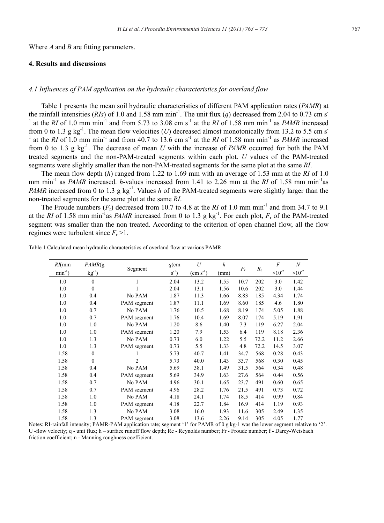Where *A* and *B* are fitting parameters.

# **4. Results and discussions**

# *4.1 Influences of PAM application on the hydraulic characteristics for overland flow*

Table 1 presents the mean soil hydraulic characteristics of different PAM application rates (*PAMR*) at the rainfall intensities (*RIs*) of 1.0 and 1.58 mm min<sup>-1</sup>. The unit flux (*q*) decreased from 2.04 to 0.73 cm s<sup>-</sup> <sup>1</sup> at the *RI* of 1.0 mm min<sup>-1</sup> and from 5.73 to 3.08 cm s<sup>-1</sup> at the *RI* of 1.58 mm min<sup>-1</sup> as *PAMR* increased from 0 to 1.3 g kg<sup>-1</sup>. The mean flow velocities (*U*) decreased almost monotonically from 13.2 to 5.5 cm s<sup>-1</sup> <sup>1</sup> at the *RI* of 1.0 mm min<sup>-1</sup> and from 40.7 to 13.6 cm s<sup>-1</sup> at the *RI* of 1.58 mm min<sup>-1</sup> as *PAMR* increased from 0 to 1.3 g kg-1. The decrease of mean *U* with the increase of *PAMR* occurred for both the PAM treated segments and the non-PAM-treated segments within each plot. *U* values of the PAM-treated segments were slightly smaller than the non-PAM-treated segments for the same plot at the same *RI*.

The mean flow depth (*h*) ranged from 1.22 to 1.69 mm with an average of 1.53 mm at the *RI* of 1.0 mm min-1 as *PAMR* increased. *h*-values increased from 1.41 to 2.26 mm at the *RI* of 1.58 mm min-1as *PAMR* increased from 0 to 1.3 g kg<sup>-1</sup>. Values *h* of the PAM-treated segments were slightly larger than the non-treated segments for the same plot at the same *RI*.

The Froude numbers  $(F_r)$  decreased from 10.7 to 4.8 at the *RI* of 1.0 mm min<sup>-1</sup> and from 34.7 to 9.1 at the *RI* of 1.58 mm min<sup>-1</sup>as *PAMR* increased from 0 to 1.3 g kg<sup>-1</sup>. For each plot,  $F<sub>r</sub>$  of the PAM-treated segment was smaller than the non treated. According to the criterion of open channel flow, all the flow regimes were turbulent since  $F_r > 1$ .

| $RI$ (mm     | PAMR(g)     | Segment        | $q$ (cm  | U                    | $\boldsymbol{h}$ | $F_{\rm r}$ | $R_{\rm e}$ | $\overline{F}$            | $\boldsymbol{N}$          |
|--------------|-------------|----------------|----------|----------------------|------------------|-------------|-------------|---------------------------|---------------------------|
| $min^{-1}$ ) | $kg^{-1}$ ) |                | $s^{-1}$ | $\text{(cm s}^{-1})$ | (mm)             |             |             | $\times$ 10 <sup>-2</sup> | $\times$ 10 <sup>-2</sup> |
| 1.0          | $\theta$    |                | 2.04     | 13.2                 | 1.55             | 10.7        | 202         | 3.0                       | 1.42                      |
| 1.0          | $\theta$    |                | 2.04     | 13.1                 | 1.56             | 10.6        | 202         | 3.0                       | 1.44                      |
| 1.0          | 0.4         | No PAM         | 1.87     | 11.3                 | 1.66             | 8.83        | 185         | 4.34                      | 1.74                      |
| 1.0          | 0.4         | PAM segment    | 1.87     | 11.1                 | 1.69             | 8.60        | 185         | 4.6                       | 1.80                      |
| 1.0          | 0.7         | No PAM         | 1.76     | 10.5                 | 1.68             | 8.19        | 174         | 5.05                      | 1.88                      |
| 1.0          | 0.7         | PAM segment    | 1.76     | 10.4                 | 1.69             | 8.07        | 174         | 5.19                      | 1.91                      |
| 1.0          | 1.0         | No PAM         | 1.20     | 8.6                  | 1.40             | 7.3         | 119         | 6.27                      | 2.04                      |
| 1.0          | 1.0         | PAM segment    | 1.20     | 7.9                  | 1.53             | 6.4         | 119         | 8.18                      | 2.36                      |
| 1.0          | 1.3         | No PAM         | 0.73     | 6.0                  | 1.22             | 5.5         | 72.2        | 11.2                      | 2.66                      |
| 1.0          | 1.3         | PAM segment    | 0.73     | 5.5                  | 1.33             | 4.8         | 72.2        | 14.5                      | 3.07                      |
| 1.58         | $\theta$    |                | 5.73     | 40.7                 | 1.41             | 34.7        | 568         | 0.28                      | 0.43                      |
| 1.58         | $\theta$    | $\overline{c}$ | 5.73     | 40.0                 | 1.43             | 33.7        | 568         | 0.30                      | 0.45                      |
| 1.58         | 0.4         | No PAM         | 5.69     | 38.1                 | 1.49             | 31.5        | 564         | 0.34                      | 0.48                      |
| 1.58         | 0.4         | PAM segment    | 5.69     | 34.9                 | 1.63             | 27.6        | 564         | 0.44                      | 0.56                      |
| 1.58         | 0.7         | No PAM         | 4.96     | 30.1                 | 1.65             | 23.7        | 491         | 0.60                      | 0.65                      |
| 1.58         | 0.7         | PAM segment    | 4.96     | 28.2                 | 1.76             | 21.5        | 491         | 0.73                      | 0.72                      |
| 1.58         | 1.0         | No PAM         | 4.18     | 24.1                 | 1.74             | 18.5        | 414         | 0.99                      | 0.84                      |
| 1.58         | 1.0         | PAM segment    | 4.18     | 22.7                 | 1.84             | 16.9        | 414         | 1.19                      | 0.93                      |
| 1.58         | 1.3         | No PAM         | 3.08     | 16.0                 | 1.93             | 11.6        | 305         | 2.49                      | 1.35                      |
| 1.58         | 1.3         | PAM segment    | 3.08     | 13.6                 | 2.26             | 9.14        | 305         | 4.05                      | 1.77                      |

Table 1 Calculated mean hydraulic characteristics of overland flow at various PAMR

Notes: RI-rainfall intensity; PAMR-PAM application rate; segment '1' for PAMR of 0 g kg-1 was the lower segment relative to '2'. U -flow velocity; q - unit flux; h – surface runoff flow depth; Re - Reynolds number; Fr - Froude number; f - Darcy-Weisbach friction coefficient; n - Manning roughness coefficient.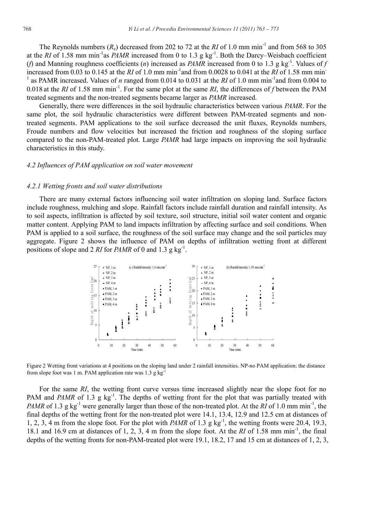The Reynolds numbers  $(R_e)$  decreased from 202 to 72 at the *RI* of 1.0 mm min<sup>-1</sup> and from 568 to 305 at the *RI* of 1.58 mm min<sup>-1</sup>as *PAMR* increased from 0 to 1.3 g kg<sup>-1</sup>. Both the Darcy–Weisbach coefficient (*f*) and Manning roughness coefficients (*n*) increased as *PAMR* increased from 0 to 1.3 g kg<sup>-1</sup>. Values of *f* increased from 0.03 to 0.145 at the *RI* of 1.0 mm min-1and from 0.0028 to 0.041 at the *RI* of 1.58 mm min-<sup>1</sup> as PAMR increased. Values of *n* ranged from 0.014 to 0.031 at the *RI* of 1.0 mm min<sup>-1</sup>and from 0.004 to 0.018 at the *RI* of 1.58 mm min-1. For the same plot at the same *RI*, the differences of *f* between the PAM treated segments and the non-treated segments became larger as *PAMR* increased.

Generally, there were differences in the soil hydraulic characteristics between various *PAMR*. For the same plot, the soil hydraulic characteristics were different between PAM-treated segments and nontreated segments. PAM applications to the soil surface decreased the unit fluxes, Reynolds numbers, Froude numbers and flow velocities but increased the friction and roughness of the sloping surface compared to the non-PAM-treated plot. Large *PAMR* had large impacts on improving the soil hydraulic characteristics in this study.

#### *4.2 Influences of PAM application on soil water movement*

## *4.2.1 Wetting fronts and soil water distributions*

There are many external factors influencing soil water infiltration on sloping land. Surface factors include roughness, mulching and slope. Rainfall factors include rainfall duration and rainfall intensity. As to soil aspects, infiltration is affected by soil texture, soil structure, initial soil water content and organic matter content. Applying PAM to land impacts infiltration by affecting surface and soil conditions. When PAM is applied to a soil surface, the roughness of the soil surface may change and the soil particles may aggregate. Figure 2 shows the influence of PAM on depths of infiltration wetting front at different positions of slope and 2 *RI* for *PAMR* of 0 and 1.3 g kg<sup>-1</sup>.



Figure 2 Wetting front variations at 4 positions on the sloping land under 2 rainfall intensities. NP-no PAM application; the distance from slope foot was 1 m. PAM application rate was  $1.3$  g kg

For the same *RI*, the wetting front curve versus time increased slightly near the slope foot for no PAM and *PAMR* of 1.3 g kg<sup>-1</sup>. The depths of wetting front for the plot that was partially treated with *PAMR* of 1.3 g kg<sup>-1</sup> were generally larger than those of the non-treated plot. At the *RI* of 1.0 mm min<sup>-1</sup>, the final depths of the wetting front for the non-treated plot were 14.1, 13.4, 12.9 and 12.5 cm at distances of 1, 2, 3, 4 m from the slope foot. For the plot with *PAMR* of 1.3 g kg<sup>-1</sup>, the wetting fronts were 20.4, 19.3, 18.1 and 16.9 cm at distances of 1, 2, 3, 4 m from the slope foot. At the *RI* of 1.58 mm min-1, the final depths of the wetting fronts for non-PAM-treated plot were 19.1, 18.2, 17 and 15 cm at distances of 1, 2, 3,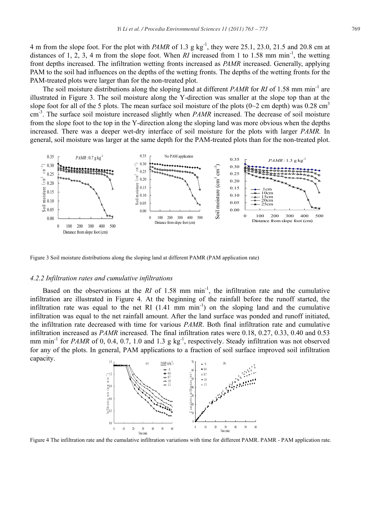4 m from the slope foot. For the plot with *PAMR* of 1.3 g kg<sup>-1</sup>, they were 25.1, 23.0, 21.5 and 20.8 cm at distances of 1, 2, 3, 4 m from the slope foot. When *RI* increased from 1 to 1.58 mm min<sup>-1</sup>, the wetting front depths increased. The infiltration wetting fronts increased as *PAMR* increased. Generally, applying PAM to the soil had influences on the depths of the wetting fronts. The depths of the wetting fronts for the PAM-treated plots were larger than for the non-treated plot.

The soil moisture distributions along the sloping land at different *PAMR* for *RI* of 1.58 mm min<sup>-1</sup> are illustrated in Figure 3. The soil moisture along the Y-direction was smaller at the slope top than at the slope foot for all of the 5 plots. The mean surface soil moisture of the plots ( $0\text{~}2$  cm depth) was 0.28 cm<sup>3</sup> cm-3. The surface soil moisture increased slightly when *PAMR* increased. The decrease of soil moisture from the slope foot to the top in the Y-direction along the sloping land was more obvious when the depths increased. There was a deeper wet-dry interface of soil moisture for the plots with larger *PAMR.* In general, soil moisture was larger at the same depth for the PAM-treated plots than for the non-treated plot.



Figure 3 Soil moisture distributions along the sloping land at different PAMR (PAM application rate)

## *4.2.2 Infiltration rates and cumulative infiltrations*

Based on the observations at the *RI* of 1.58 mm  $\min^{-1}$ , the infiltration rate and the cumulative infiltration are illustrated in Figure 4. At the beginning of the rainfall before the runoff started, the infiltration rate was equal to the net RI  $(1.41 \text{ mm min}^{-1})$  on the sloping land and the cumulative infiltration was equal to the net rainfall amount. After the land surface was ponded and runoff initiated, the infiltration rate decreased with time for various *PAMR*. Both final infiltration rate and cumulative infiltration increased as *PAMR* increased. The final infiltration rates were 0.18, 0.27, 0.33, 0.40 and 0.53 mm min<sup>-1</sup> for *PAMR* of 0, 0.4, 0.7, 1.0 and 1.3 g kg<sup>-1</sup>, respectively. Steady infiltration was not observed for any of the plots. In general, PAM applications to a fraction of soil surface improved soil infiltration capacity.

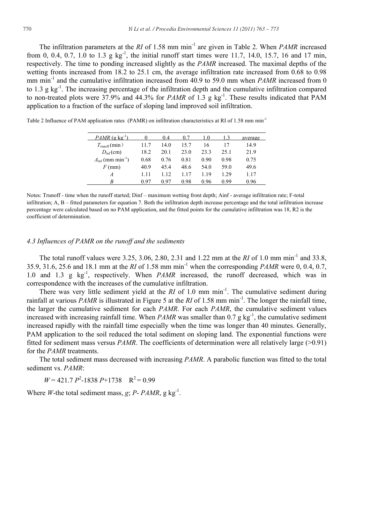The infiltration parameters at the *RI* of 1.58 mm min<sup>-1</sup> are given in Table 2. When *PAMR* increased from 0, 0.4, 0.7, 1.0 to 1.3 g kg<sup>-1</sup>, the initial runoff start times were 11.7, 14.0, 15.7, 16 and 17 min, respectively. The time to ponding increased slightly as the *PAMR* increased. The maximal depths of the wetting fronts increased from 18.2 to 25.1 cm, the average infiltration rate increased from 0.68 to 0.98 mm min<sup>-1</sup> and the cumulative infiltration increased from 40.9 to 59.0 mm when *PAMR* increased from 0 to  $1.3 \, \text{g kg}^{-1}$ . The increasing percentage of the infiltration depth and the cumulative infiltration compared to non-treated plots were 37.9% and 44.3% for *PAMR* of 1.3 g kg<sup>-1</sup>. These results indicated that PAM application to a fraction of the surface of sloping land improved soil infiltration.

| $PAMR$ (g kg <sup>-1</sup> )             |      | 0.4  | 0.7  | 1.0  | 13   | average |
|------------------------------------------|------|------|------|------|------|---------|
| $T_{\text{runoff}}(\text{min})$          | 11.7 | 14.0 | 15.7 | 16   | 17   | 14.9    |
| $D_{\text{inf}}(\text{cm})$              | 18.2 | 20.1 | 23.0 | 23.3 | 25.1 | 21.9    |
| $A_{\text{inf}}$ (mm min <sup>-1</sup> ) | 0.68 | 0.76 | 0.81 | 0.90 | 0.98 | 0.75    |
| $F$ (mm)                                 | 40.9 | 45.4 | 48.6 | 54.0 | 59.0 | 49.6    |
| A                                        | 1.11 | 1.12 | 117  | 119  | 1 29 | 1.17    |
| R                                        | በ 97 | 0.97 | 0.98 | 0.96 | O 99 | 0.96    |

Table 2 Influence of PAM application rates (PAMR) on infiltration characteristics at RI of 1.58 mm min<sup>-1</sup>

Notes: Trunoff - time when the runoff started; Dinf – maximum wetting front depth; Ainf - average infiltration rate; F-total infiltration; A, B – fitted parameters for equation 7. Both the infiltration depth increase percentage and the total infiltration increase percentage were calculated based on no PAM application, and the fitted points for the cumulative infiltration was 18, R2 is the coefficient of determination.

# *4.3 Influences of PAMR on the runoff and the sediments*

The total runoff values were 3.25, 3.06, 2.80, 2.31 and 1.22 mm at the *RI* of 1.0 mm min-1 and 33.8, 35.9, 31.6, 25.6 and 18.1 mm at the *RI* of 1.58 mm min-1 when the corresponding *PAMR* were 0, 0.4, 0.7, 1.0 and 1.3 g kg<sup>-1</sup>, respectively. When *PAMR* increased, the runoff decreased, which was in correspondence with the increases of the cumulative infiltration.

There was very little sediment yield at the *RI* of 1.0 mm min<sup>-1</sup>. The cumulative sediment during rainfall at various *PAMR* is illustrated in Figure 5 at the  $RI$  of 1.58 mm min<sup>-1</sup>. The longer the rainfall time, the larger the cumulative sediment for each *PAMR*. For each *PAMR*, the cumulative sediment values increased with increasing rainfall time. When *PAMR* was smaller than  $0.7 g kg<sup>-1</sup>$ , the cumulative sediment increased rapidly with the rainfall time especially when the time was longer than 40 minutes. Generally, PAM application to the soil reduced the total sediment on sloping land. The exponential functions were fitted for sediment mass versus *PAMR*. The coefficients of determination were all relatively large (>0.91) for the *PAMR* treatments.

The total sediment mass decreased with increasing *PAMR*. A parabolic function was fitted to the total sediment vs. *PAMR*:

 $W = 421.7 P^2 - 1838 P + 1738 R^2 = 0.99$ 

Where *W*-the total sediment mass, *g*; *P*-  $PAMR$ , *g* kg<sup>-1</sup>.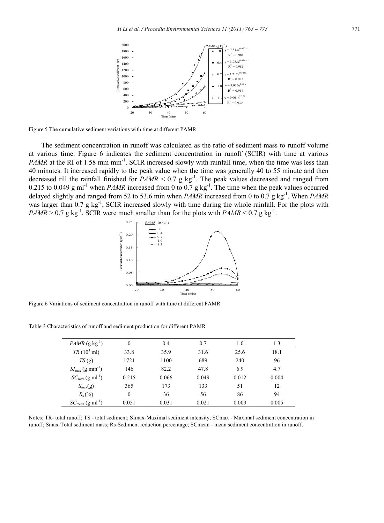

Figure 5 The cumulative sediment variations with time at different PAMR

The sediment concentration in runoff was calculated as the ratio of sediment mass to runoff volume at various time. Figure 6 indicates the sediment concentration in runoff (SCIR) with time at various *PAMR* at the RI of 1.58 mm min<sup>-1</sup>. SCIR increased slowly with rainfall time, when the time was less than 40 minutes. It increased rapidly to the peak value when the time was generally 40 to 55 minute and then decreased till the rainfall finished for  $PAMR \le 0.7$  g kg<sup>-1</sup>. The peak values decreased and ranged from 0.215 to 0.049 g ml<sup>-1</sup> when *PAMR* increased from 0 to 0.7 g kg<sup>-1</sup>. The time when the peak values occurred delayed slightly and ranged from 52 to 53.6 min when *PAMR* increased from 0 to 0.7 g kg<sup>-1</sup>. When *PAMR* was larger than  $0.7$  g kg<sup>-1</sup>, SCIR increased slowly with time during the whole rainfall. For the plots with  $PAMR > 0.7$  g kg<sup>-1</sup>, SCIR were much smaller than for the plots with  $PAMR < 0.7$  g kg<sup>-1</sup>.



Figure 6 Variations of sediment concentration in runoff with time at different PAMR

Table 3 Characteristics of runoff and sediment production for different PAMR

| $PAMR$ (g kg <sup>-1</sup> )             | $\Omega$ | 0.4   | 0.7   | 1.0   | 1.3   |
|------------------------------------------|----------|-------|-------|-------|-------|
| $TR(10^3 \text{ ml})$                    | 33.8     | 35.9  | 31.6  | 25.6  | 18.1  |
| TS(g)                                    | 1721     | 1100  | 689   | 240   | 96    |
| $SI_{\text{max}}$ (g min <sup>-1</sup> ) | 146      | 82.2  | 47.8  | 6.9   | 4.7   |
| $SC_{\text{max}}$ (g ml <sup>-1</sup> )  | 0.215    | 0.066 | 0.049 | 0.012 | 0.004 |
| $S_{\rm max}(\textbf{g})$                | 365      | 173   | 133   | 51    | 12    |
| $R_{s}(%)$                               | $\Omega$ | 36    | 56    | 86    | 94    |
| $SC_{\text{mean}}(g \text{ ml}^{-1})$    | 0.051    | 0.031 | 0.021 | 0.009 | 0.005 |

Notes: TR- total runoff; TS - total sediment; SImax-Maximal sediment intensity; SCmax - Maximal sediment concentration in runoff; Smax-Total sediment mass; Rs-Sediment reduction percentage; SCmean - mean sediment concentration in runoff.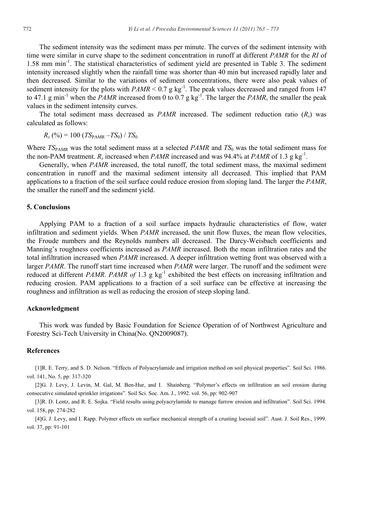The sediment intensity was the sediment mass per minute. The curves of the sediment intensity with time were similar in curve shape to the sediment concentration in runoff at different *PAMR* for the *RI* of 1.58 mm min-1. The statistical characteristics of sediment yield are presented in Table 3. The sediment intensity increased slightly when the rainfall time was shorter than 40 min but increased rapidly later and then decreased. Similar to the variations of sediment concentrations, there were also peak values of sediment intensity for the plots with  $PAMR \le 0.7$  g kg<sup>-1</sup>. The peak values decreased and ranged from 147 to 47.1 g min<sup>-1</sup> when the *PAMR* increased from 0 to 0.7 g kg<sup>-1</sup>. The larger the *PAMR*, the smaller the peak values in the sediment intensity curves.

The total sediment mass decreased as *PAMR* increased. The sediment reduction ratio (*Rs*) was calculated as follows:

 $R_s$  (%) = 100 (*TS*<sub>PAMR</sub> –*TS*<sub>0</sub>) / *TS*<sub>0</sub>

Where *TS*PAMR was the total sediment mass at a selected *PAMR* and *TS*0 was the total sediment mass for the non-PAM treatment.  $R_s$  increased when *PAMR* increased and was 94.4% at *PAMR* of 1.3 g kg<sup>-1</sup>.

Generally, when *PAMR* increased, the total runoff, the total sediment mass, the maximal sediment concentration in runoff and the maximal sediment intensity all decreased. This implied that PAM applications to a fraction of the soil surface could reduce erosion from sloping land. The larger the *PAMR*, the smaller the runoff and the sediment yield.

#### **5. Conclusions**

Applying PAM to a fraction of a soil surface impacts hydraulic characteristics of flow, water infiltration and sediment yields. When *PAMR* increased, the unit flow fluxes, the mean flow velocities, the Froude numbers and the Reynolds numbers all decreased. The Darcy-Weisbach coefficients and Manning's roughness coefficients increased as *PAMR* increased. Both the mean infiltration rates and the total infiltration increased when *PAMR* increased. A deeper infiltration wetting front was observed with a larger *PAMR*. The runoff start time increased when *PAMR* were larger. The runoff and the sediment were reduced at different *PAMR*. *PAMR of* 1.3 g kg-1 exhibited the best effects on increasing infiltration and reducing erosion. PAM applications to a fraction of a soil surface can be effective at increasing the roughness and infiltration as well as reducing the erosion of steep sloping land.

## **Acknowledgment**

This work was funded by Basic Foundation for Science Operation of of Northwest Agriculture and Forestry Sci-Tech University in China(No. QN2009087).

# **References**

[1]R. E. Terry, and S. D. Nelson. "Effects of Polyacrylamide and irrigation method on soil physical properties". Soil Sci. 1986. vol. 141, No. 5, pp: 317-320

[2]G. J. Levy, J. Levin, M. Gal, M. Ben-Hur, and I. Shainberg. "Polymer's effects on infiltration an soil erosion during consecutive simulated sprinkler irrigations". Soil Sci. Soc. Am. J., 1992. vol. 56, pp: 902-907

[3]R. D. Lentz, and R. E. Sojka. "Field results using polyacrylamide to manage furrow erosion and infiltration". Soil Sci. 1994. vol. 158, pp: 274-282

[4]G. J. Levy, and I. Rapp. Polymer effects on surface mechanical strength of a crusting loessial soil". Aust. J. Soil Res., 1999. vol. 37, pp: 91-101